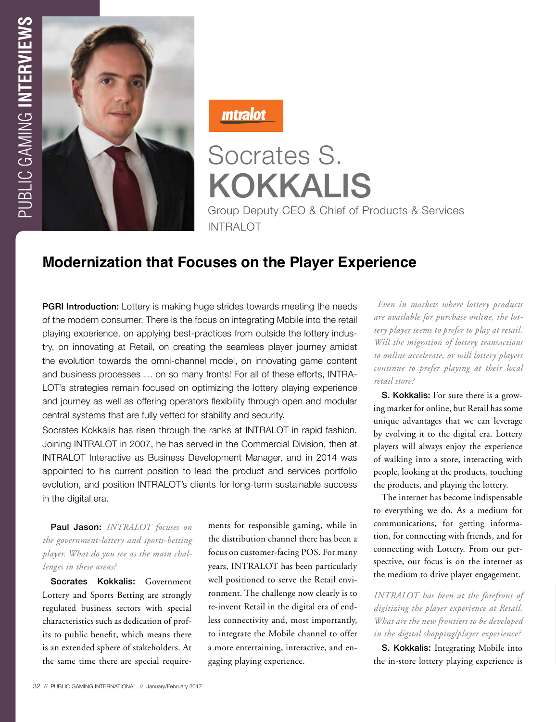

<u>Intralot</u>

# Socrates S. KOKKALIS Group Deputy CEO & Chief of Products & Services INTRAI OT

# **Modernization that Focuses on the Player Experience**

**PGRI Introduction:** Lottery is making huge strides towards meeting the needs of the modern consumer. There is the focus on integrating Mobile into the retail playing experience, on applying best-practices from outside the lottery industry, on innovating at Retail, on creating the seamless player journey amidst the evolution towards the omni-channel model, on innovating game content and business processes … on so many fronts! For all of these efforts, INTRA-LOT's strategies remain focused on optimizing the lottery playing experience and journey as well as offering operators flexibility through open and modular central systems that are fully vetted for stability and security.

Socrates Kokkalis has risen through the ranks at INTRALOT in rapid fashion. Joining INTRALOT in 2007, he has served in the Commercial Division, then at INTRALOT Interactive as Business Development Manager, and in 2014 was appointed to his current position to lead the product and services portfolio evolution, and position INTRALOT's clients for long-term sustainable success in the digital era.

# Paul Jason: *INTRALOT focuses on the government-lottery and sports-betting player. What do you see as the main challenges in these areas?*

Socrates Kokkalis: Government Lottery and Sports Betting are strongly regulated business sectors with special characteristics such as dedication of profits to public benefit, which means there is an extended sphere of stakeholders. At the same time there are special requirements for responsible gaming, while in the distribution channel there has been a focus on customer-facing POS. For many years, INTRALOT has been particularly well positioned to serve the Retail environment. The challenge now clearly is to re-invent Retail in the digital era of endless connectivity and, most importantly, to integrate the Mobile channel to offer a more entertaining, interactive, and engaging playing experience.

 *Even in markets where lottery products are available for purchase online, the lottery player seems to prefer to play at retail. Will the migration of lottery transactions to online accelerate, or will lottery players continue to prefer playing at their local retail store?* 

S. Kokkalis: For sure there is a growing market for online, but Retail has some unique advantages that we can leverage by evolving it to the digital era. Lottery players will always enjoy the experience of walking into a store, interacting with people, looking at the products, touching the products, and playing the lottery.

The internet has become indispensable to everything we do. As a medium for communications, for getting information, for connecting with friends, and for connecting with Lottery. From our perspective, our focus is on the internet as the medium to drive player engagement.

*INTRALOT has been at the forefront of digitizing the player experience at Retail. What are the new frontiers to be developed in the digital shopping/player experience?*

S. Kokkalis: Integrating Mobile into the in-store lottery playing experience is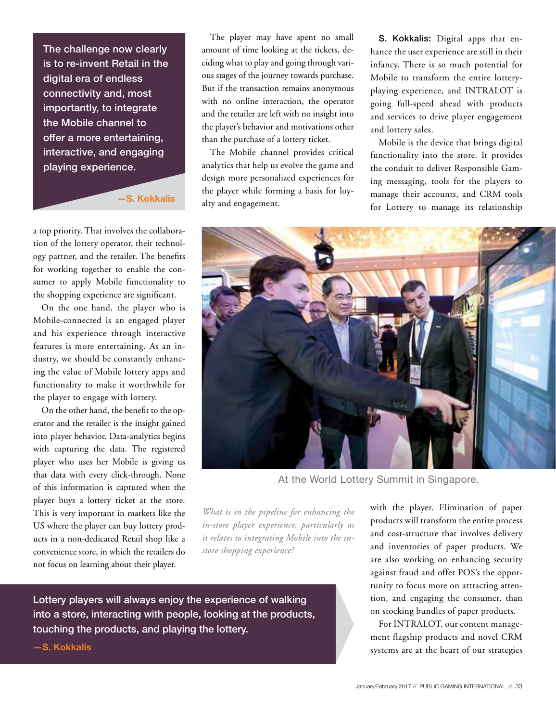The challenge now clearly is to re-invent Retail in the digital era of endless connectivity and, most importantly, to integrate the Mobile channel to offer a more entertaining, interactive, and engaging playing experience.

**—S. Kokkalis**

a top priority. That involves the collaboration of the lottery operator, their technology partner, and the retailer. The benefits for working together to enable the consumer to apply Mobile functionality to the shopping experience are significant.

On the one hand, the player who is Mobile-connected is an engaged player and his experience through interactive features is more entertaining. As an industry, we should be constantly enhancing the value of Mobile lottery apps and functionality to make it worthwhile for the player to engage with lottery.

On the other hand, the benefit to the operator and the retailer is the insight gained into player behavior. Data-analytics begins with capturing the data. The registered player who uses her Mobile is giving us that data with every click-through. None of this information is captured when the player buys a lottery ticket at the store. This is very important in markets like the US where the player can buy lottery products in a non-dedicated Retail shop like a convenience store, in which the retailers do not focus on learning about their player.

The player may have spent no small amount of time looking at the tickets, deciding what to play and going through various stages of the journey towards purchase. But if the transaction remains anonymous with no online interaction, the operator and the retailer are left with no insight into the player's behavior and motivations other than the purchase of a lottery ticket.

The Mobile channel provides critical analytics that help us evolve the game and design more personalized experiences for the player while forming a basis for loyalty and engagement.

S. Kokkalis: Digital apps that enhance the user experience are still in their infancy. There is so much potential for Mobile to transform the entire lotteryplaying experience, and INTRALOT is going full-speed ahead with products and services to drive player engagement and lottery sales.

Mobile is the device that brings digital functionality into the store. It provides the conduit to deliver Responsible Gaming messaging, tools for the players to manage their accounts, and CRM tools for Lottery to manage its relationship



At the World Lottery Summit in Singapore.

*What is in the pipeline for enhancing the in-store player experience, particularly as it relates to integrating Mobile into the instore shopping experience?*

Lottery players will always enjoy the experience of walking into a store, interacting with people, looking at the products, touching the products, and playing the lottery.

**—S. Kokkalis**

with the player. Elimination of paper products will transform the entire process and cost-structure that involves delivery and inventories of paper products. We are also working on enhancing security against fraud and offer POS's the opportunity to focus more on attracting attention, and engaging the consumer, than on stocking bundles of paper products.

For INTRALOT, our content management flagship products and novel CRM systems are at the heart of our strategies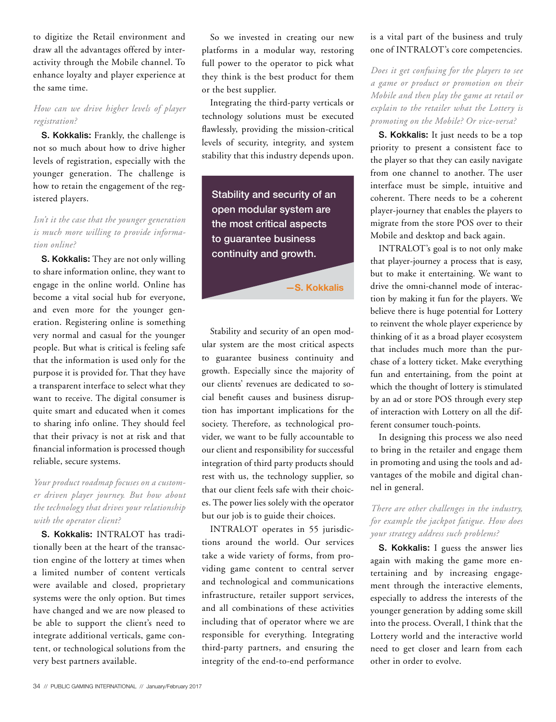to digitize the Retail environment and draw all the advantages offered by interactivity through the Mobile channel. To enhance loyalty and player experience at the same time.

#### *How can we drive higher levels of player registration?*

S. Kokkalis: Frankly, the challenge is not so much about how to drive higher levels of registration, especially with the younger generation. The challenge is how to retain the engagement of the registered players.

#### *Isn't it the case that the younger generation is much more willing to provide information online?*

S. Kokkalis: They are not only willing to share information online, they want to engage in the online world. Online has become a vital social hub for everyone, and even more for the younger generation. Registering online is something very normal and casual for the younger people. But what is critical is feeling safe that the information is used only for the purpose it is provided for. That they have a transparent interface to select what they want to receive. The digital consumer is quite smart and educated when it comes to sharing info online. They should feel that their privacy is not at risk and that financial information is processed though reliable, secure systems.

### *Your product roadmap focuses on a customer driven player journey. But how about the technology that drives your relationship with the operator client?*

S. Kokkalis: INTRALOT has traditionally been at the heart of the transaction engine of the lottery at times when a limited number of content verticals were available and closed, proprietary systems were the only option. But times have changed and we are now pleased to be able to support the client's need to integrate additional verticals, game content, or technological solutions from the very best partners available.

So we invested in creating our new platforms in a modular way, restoring full power to the operator to pick what they think is the best product for them or the best supplier.

Integrating the third-party verticals or technology solutions must be executed flawlessly, providing the mission-critical levels of security, integrity, and system stability that this industry depends upon.

Stability and security of an open modular system are the most critical aspects to guarantee business continuity and growth.

**—S. Kokkalis**

Stability and security of an open modular system are the most critical aspects to guarantee business continuity and growth. Especially since the majority of our clients' revenues are dedicated to social benefit causes and business disruption has important implications for the society. Therefore, as technological provider, we want to be fully accountable to our client and responsibility for successful integration of third party products should rest with us, the technology supplier, so that our client feels safe with their choices. The power lies solely with the operator but our job is to guide their choices.

INTRALOT operates in 55 jurisdictions around the world. Our services take a wide variety of forms, from providing game content to central server and technological and communications infrastructure, retailer support services, and all combinations of these activities including that of operator where we are responsible for everything. Integrating third-party partners, and ensuring the integrity of the end-to-end performance

#### is a vital part of the business and truly one of INTRALOT's core competencies.

*Does it get confusing for the players to see a game or product or promotion on their Mobile and then play the game at retail or explain to the retailer what the Lottery is promoting on the Mobile? Or vice-versa?* 

S. Kokkalis: It just needs to be a top priority to present a consistent face to the player so that they can easily navigate from one channel to another. The user interface must be simple, intuitive and coherent. There needs to be a coherent player-journey that enables the players to migrate from the store POS over to their Mobile and desktop and back again.

INTRALOT's goal is to not only make that player-journey a process that is easy, but to make it entertaining. We want to drive the omni-channel mode of interaction by making it fun for the players. We believe there is huge potential for Lottery to reinvent the whole player experience by thinking of it as a broad player ecosystem that includes much more than the purchase of a lottery ticket. Make everything fun and entertaining, from the point at which the thought of lottery is stimulated by an ad or store POS through every step of interaction with Lottery on all the different consumer touch-points.

In designing this process we also need to bring in the retailer and engage them in promoting and using the tools and advantages of the mobile and digital channel in general.

#### *There are other challenges in the industry, for example the jackpot fatigue. How does your strategy address such problems?*

S. Kokkalis: I guess the answer lies again with making the game more entertaining and by increasing engagement through the interactive elements, especially to address the interests of the younger generation by adding some skill into the process. Overall, I think that the Lottery world and the interactive world need to get closer and learn from each other in order to evolve.